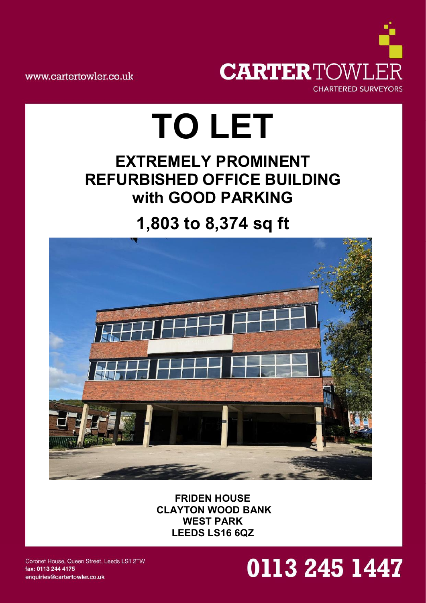

www.cartertowler.co.uk

# **TO LET**

### **EXTREMELY PROMINENT REFURBISHED OFFICE BUILDING with GOOD PARKING**

## **1,803 to 8,374 sq ft**



**FRIDEN HOUSE CLAYTON WOOD BANK WEST PARK LEEDS LS16 6QZ**

Coronet House, Queen Street, Leeds LS1 2TW fax: 0113 244 4175 enquiries@cartertowler.co.uk

## 0113 245 1447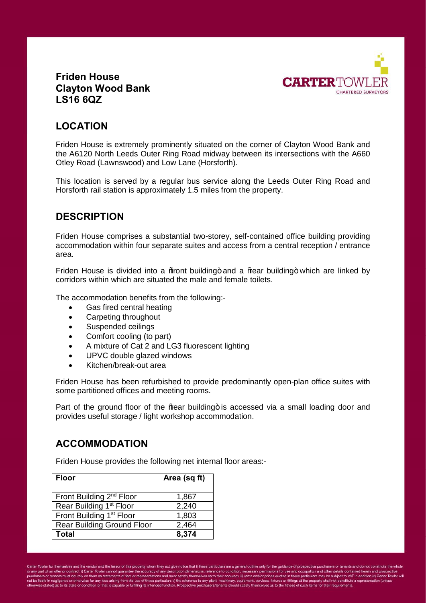

#### **Friden House Clayton Wood Bank LS16 6QZ**

#### **LOCATION**

Friden House is extremely prominently situated on the corner of Clayton Wood Bank and the A6120 North Leeds Outer Ring Road midway between its intersections with the A660 Otley Road (Lawnswood) and Low Lane (Horsforth).

This location is served by a regular bus service along the Leeds Outer Ring Road and Horsforth rail station is approximately 1.5 miles from the property.

#### **DESCRIPTION**

Friden House comprises a substantial two-storey, self-contained office building providing accommodation within four separate suites and access from a central reception / entrance area.

Friden House is divided into a *%* front building + and a *%* from building + which are linked by corridors within which are situated the male and female toilets.

The accommodation benefits from the following:-

- Gas fired central heating
- Carpeting throughout
- Suspended ceilings
- Comfort cooling (to part)
- A mixture of Cat 2 and LG3 fluorescent lighting
- UPVC double glazed windows
- Kitchen/break-out area

Friden House has been refurbished to provide predominantly open-plan office suites with some partitioned offices and meeting rooms.

Part of the ground floor of the  $%$ ear building+ is accessed via a small loading door and provides useful storage / light workshop accommodation.

#### **ACCOMMODATION**

Friden House provides the following net internal floor areas:-

| <b>Floor</b>                         | Area (sq ft) |
|--------------------------------------|--------------|
| Front Building 2 <sup>nd</sup> Floor | 1,867        |
| Rear Building 1 <sup>st</sup> Floor  | 2,240        |
| Front Building 1 <sup>st</sup> Floor | 1,803        |
| <b>Rear Building Ground Floor</b>    | 2,464        |
| <b>Total</b>                         | 8,374        |

Carter Towler for themselves and the vendor and the lessor of this property whom they act give notice that i) these particulars are a general outline only for the guidance of prospective purchasers or tenants and do not co a any part of relation that is the four of the mas statements of fact or representations and must stats) themselves as to their accuracy ill) rents and/or pricess quoted in these particulars may be subject to VAT in additi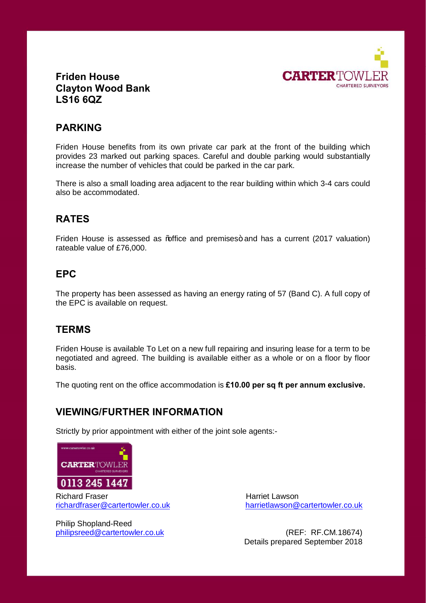

#### **Friden House Clayton Wood Bank LS16 6QZ**

#### **PARKING**

Friden House benefits from its own private car park at the front of the building which provides 23 marked out parking spaces. Careful and double parking would substantially increase the number of vehicles that could be parked in the car park.

There is also a small loading area adjacent to the rear building within which 3-4 cars could also be accommodated.

#### **RATES**

Friden House is assessed as % affice and premises+ and has a current (2017 valuation) rateable value of £76,000.

#### **EPC**

The property has been assessed as having an energy rating of 57 (Band C). A full copy of the EPC is available on request.

#### **TERMS**

Friden House is available To Let on a new full repairing and insuring lease for a term to be negotiated and agreed. The building is available either as a whole or on a floor by floor basis.

The quoting rent on the office accommodation is **£10.00 per sq ft per annum exclusive.**

#### **VIEWING/FURTHER INFORMATION**

Strictly by prior appointment with either of the joint sole agents:-



Richard Fraser richardfraser@cartertowler.co.uk

Philip Shopland-Reed

 Harriet Lawson harrietlawson@cartertowler.co.uk

philipsreed@cartertowler.co.uk (REF: RF.CM.18674) Details prepared September 2018